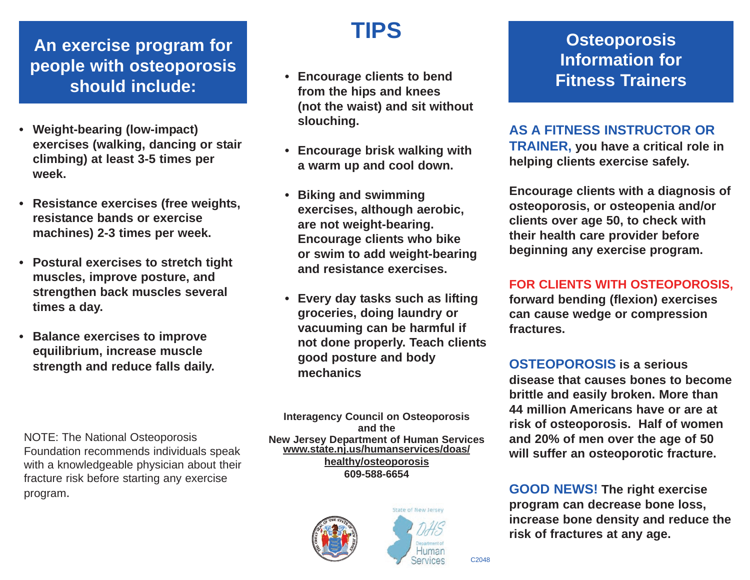### **An exercise program for people with osteoporosis should include:**

- **Weight-bearing (low-impact) exercises (walking, dancing or stair climbing) at least 3-5 times per week.**
- **Resistance exercises (free weights, resistance bands or exercise machines) 2-3 times per week.**
- **Postural exercises to stretch tight muscles, improve posture, and strengthen back muscles several times a day.**
- **Balance exercises to improve equilibrium, increase muscle strength and reduce falls daily.**

NOTE: The National Osteoporosis Foundation recommends individuals speak with a knowledgeable physician about their fracture risk before starting any exercise program.

## **TIPS**

- **Encourage clients to bend from the hips and knees (not the waist) and sit without slouching.**
- **Encourage brisk walking with a warm up and cool down.**
- **Biking and swimming exercises, although aerobic, are not weight-bearing. Encourage clients who bike or swim to add weight-bearing and resistance exercises.**
- **Every day tasks such as lifting groceries, doing laundry or vacuuming can be harmful if not done properly. Teach clients good posture and body mechanics**

**Interagency Council on Osteoporosis** and the<br>**New Jersey Department of Human Services New Jersey Department of Human Services www.state.nj.us/humanservices/doas/ healthy/osteoporosis 609-588-6654**





### **Osteoporosis Information for Fitness Trainers**

**AS A FITNESS INSTRUCTOR OR TRAINER, you have a critical role in helping clients exercise safely.** 

**Encourage clients with a diagnosis of osteoporosis, or osteopenia and/or clients over age 50, to check with their health care provider before beginning any exercise program.**

**FOR CLIENTS WITH OSTEOPOROSIS, forward bending (flexion) exercises can cause wedge or compression fractures.**

**OSTEOPOROSIS is a serious disease that causes bones to become brittle and easily broken. More than 44 million Americans have or are at risk of osteoporosis. Half of women and 20% of men over the age of 50 will suffer an osteoporotic fracture.**

**GOOD NEWS! The right exercise program can decrease bone loss, increase bone density and reduce the risk of fractures at any age.**